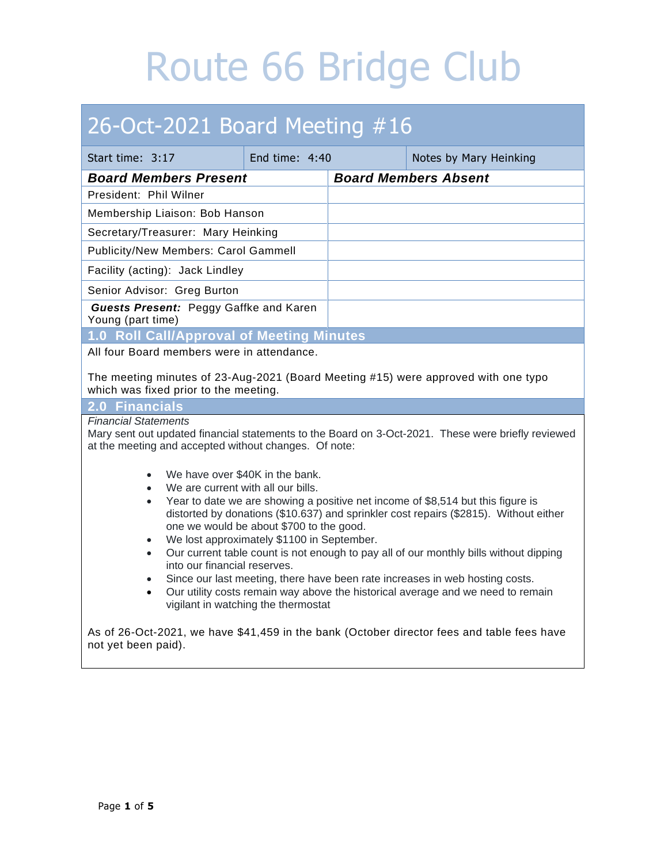# 26-Oct-2021 Board Meeting #16

| Start time: 3:17                                                                                                                                                                                                                                                                | End time: $4:40$ |                             | Notes by Mary Heinking |
|---------------------------------------------------------------------------------------------------------------------------------------------------------------------------------------------------------------------------------------------------------------------------------|------------------|-----------------------------|------------------------|
| <b>Board Members Present</b>                                                                                                                                                                                                                                                    |                  | <b>Board Members Absent</b> |                        |
| President: Phil Wilner                                                                                                                                                                                                                                                          |                  |                             |                        |
| Membership Liaison: Bob Hanson                                                                                                                                                                                                                                                  |                  |                             |                        |
| Secretary/Treasurer: Mary Heinking                                                                                                                                                                                                                                              |                  |                             |                        |
| <b>Publicity/New Members: Carol Gammell</b>                                                                                                                                                                                                                                     |                  |                             |                        |
| Facility (acting): Jack Lindley                                                                                                                                                                                                                                                 |                  |                             |                        |
| Senior Advisor: Greg Burton                                                                                                                                                                                                                                                     |                  |                             |                        |
| <b>Guests Present: Peggy Gaffke and Karen</b><br>Young (part time)                                                                                                                                                                                                              |                  |                             |                        |
| 1.0 Roll Call/Approval of Meeting Minutes                                                                                                                                                                                                                                       |                  |                             |                        |
| All four Board members were in attendance.                                                                                                                                                                                                                                      |                  |                             |                        |
| The meeting minutes of 23-Aug-2021 (Board Meeting #15) were approved with one typo<br>which was fixed prior to the meeting.                                                                                                                                                     |                  |                             |                        |
| 2.0 Financials                                                                                                                                                                                                                                                                  |                  |                             |                        |
| <b>Financial Statements</b><br>Mary sent out updated financial statements to the Board on 3-Oct-2021. These were briefly reviewed<br>at the meeting and accepted without changes. Of note:                                                                                      |                  |                             |                        |
| We have over \$40K in the bank.<br>$\bullet$                                                                                                                                                                                                                                    |                  |                             |                        |
| We are current with all our bills.<br>$\bullet$                                                                                                                                                                                                                                 |                  |                             |                        |
| Year to date we are showing a positive net income of \$8,514 but this figure is<br>$\bullet$<br>distorted by donations (\$10.637) and sprinkler cost repairs (\$2815). Without either<br>one we would be about \$700 to the good.<br>We lost approximately \$1100 in September. |                  |                             |                        |
| Our current table count is not enough to pay all of our monthly bills without dipping<br>$\bullet$<br>into our financial reserves.                                                                                                                                              |                  |                             |                        |
| Since our last meeting, there have been rate increases in web hosting costs.<br>$\bullet$                                                                                                                                                                                       |                  |                             |                        |
| Our utility costs remain way above the historical average and we need to remain<br>$\bullet$<br>vigilant in watching the thermostat                                                                                                                                             |                  |                             |                        |
| As of 26-Oct-2021, we have \$41,459 in the bank (October director fees and table fees have<br>not yet been paid).                                                                                                                                                               |                  |                             |                        |

At current table count we will remain solvent at least through 2022.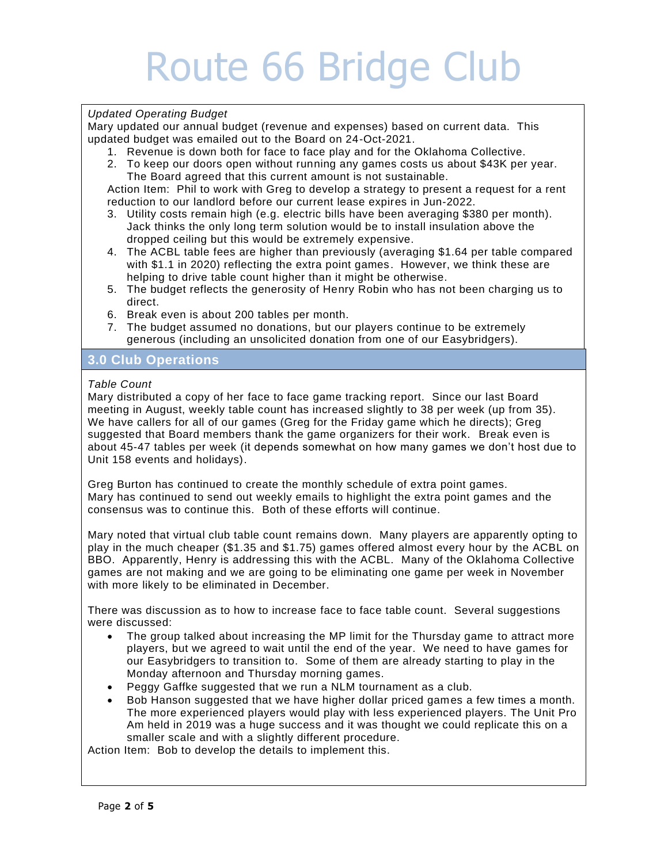#### *Updated Operating Budget*

Mary updated our annual budget (revenue and expenses) based on current data. This updated budget was emailed out to the Board on 24-Oct-2021.

- 1. Revenue is down both for face to face play and for the Oklahoma Collective.
- 2. To keep our doors open without running any games costs us about \$43K per year. The Board agreed that this current amount is not sustainable.

Action Item: Phil to work with Greg to develop a strategy to present a request for a rent reduction to our landlord before our current lease expires in Jun-2022.

- 3. Utility costs remain high (e.g. electric bills have been averaging \$380 per month). Jack thinks the only long term solution would be to install insulation above the dropped ceiling but this would be extremely expensive.
- 4. The ACBL table fees are higher than previously (averaging \$1.64 per table compared with \$1.1 in 2020) reflecting the extra point games. However, we think these are helping to drive table count higher than it might be otherwise.
- 5. The budget reflects the generosity of Henry Robin who has not been charging us to direct.
- 6. Break even is about 200 tables per month.
- 7. The budget assumed no donations, but our players continue to be extremely generous (including an unsolicited donation from one of our Easybridgers).

# **3.0 Club Operations**

#### *Table Count*

Mary distributed a copy of her face to face game tracking report. Since our last Board meeting in August, weekly table count has increased slightly to 38 per week (up from 35). We have callers for all of our games (Greg for the Friday game which he directs); Greg suggested that Board members thank the game organizers for their work. Break even is about 45-47 tables per week (it depends somewhat on how many games we don't host due to Unit 158 events and holidays).

Greg Burton has continued to create the monthly schedule of extra point games. Mary has continued to send out weekly emails to highlight the extra point games and the consensus was to continue this. Both of these efforts will continue.

Mary noted that virtual club table count remains down. Many players are apparently opting to play in the much cheaper (\$1.35 and \$1.75) games offered almost every hour by the ACBL on BBO. Apparently, Henry is addressing this with the ACBL. Many of the Oklahoma Collective games are not making and we are going to be eliminating one game per week in November with more likely to be eliminated in December.

There was discussion as to how to increase face to face table count. Several suggestions were discussed:

- The group talked about increasing the MP limit for the Thursday game to attract more players, but we agreed to wait until the end of the year. We need to have games for our Easybridgers to transition to. Some of them are already starting to play in the Monday afternoon and Thursday morning games.
- Peggy Gaffke suggested that we run a NLM tournament as a club.
- Bob Hanson suggested that we have higher dollar priced games a few times a month. The more experienced players would play with less experienced players. The Unit Pro Am held in 2019 was a huge success and it was thought we could replicate this on a smaller scale and with a slightly different procedure.

Action Item: Bob to develop the details to implement this.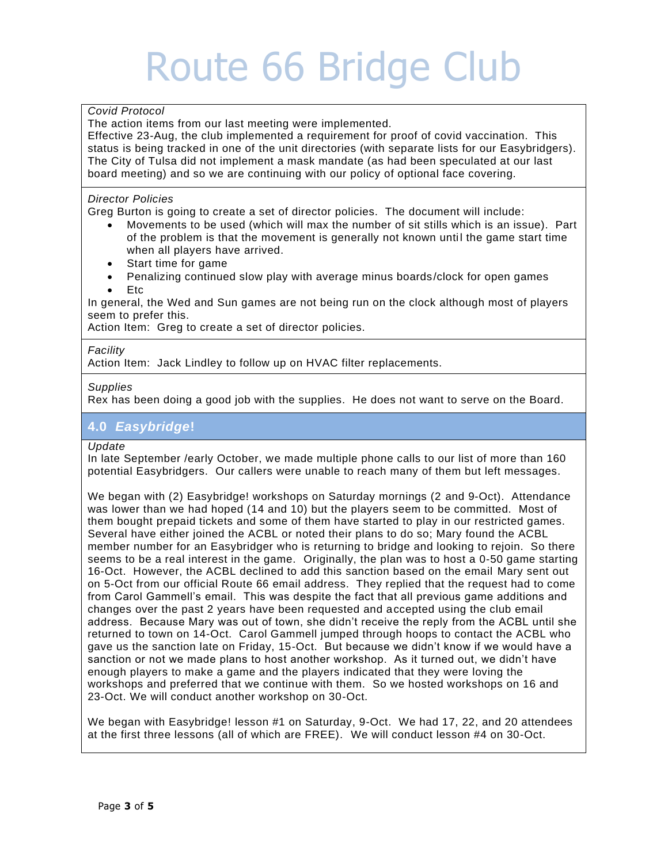### *Covid Protocol*

The action items from our last meeting were implemented.

Effective 23-Aug, the club implemented a requirement for proof of covid vaccination. This status is being tracked in one of the unit directories (with separate lists for our Easybridgers). The City of Tulsa did not implement a mask mandate (as had been speculated at our last board meeting) and so we are continuing with our policy of optional face covering.

#### . *Director Policies*

Greg Burton is going to create a set of director policies. The document will include:

- Movements to be used (which will max the number of sit stills which is an issue). Part of the problem is that the movement is generally not known until the game start time when all players have arrived.
- Start time for game
- Penalizing continued slow play with average minus boards /clock for open games • Etc

In general, the Wed and Sun games are not being run on the clock although most of players seem to prefer this.

Action Item: Greg to create a set of director policies.

#### *Facility*

Action Item: Jack Lindley to follow up on HVAC filter replacements.

#### *Supplies*

Rex has been doing a good job with the supplies. He does not want to serve on the Board.

## **4.0** *Easybridge***!**

#### *Update*

In late September /early October, we made multiple phone calls to our list of more than 160 potential Easybridgers. Our callers were unable to reach many of them but left messages.

We began with (2) Easybridge! workshops on Saturday mornings (2 and 9-Oct). Attendance was lower than we had hoped (14 and 10) but the players seem to be committed. Most of them bought prepaid tickets and some of them have started to play in our restricted games. Several have either joined the ACBL or noted their plans to do so; Mary found the ACBL member number for an Easybridger who is returning to bridge and looking to rejoin. So there seems to be a real interest in the game. Originally, the plan was to host a 0-50 game starting 16-Oct. However, the ACBL declined to add this sanction based on the email Mary sent out on 5-Oct from our official Route 66 email address. They replied that the request had to come from Carol Gammell's email. This was despite the fact that all previous game additions and changes over the past 2 years have been requested and accepted using the club email address. Because Mary was out of town, she didn't receive the reply from the ACBL until she returned to town on 14-Oct. Carol Gammell jumped through hoops to contact the ACBL who gave us the sanction late on Friday, 15-Oct. But because we didn't know if we would have a sanction or not we made plans to host another workshop. As it turned out, we didn't have enough players to make a game and the players indicated that they were loving the workshops and preferred that we continue with them. So we hosted workshops on 16 and 23-Oct. We will conduct another workshop on 30-Oct.

We began with Easybridge! lesson #1 on Saturday, 9-Oct. We had 17, 22, and 20 attendees at the first three lessons (all of which are FREE). We will conduct lesson #4 on 30-Oct.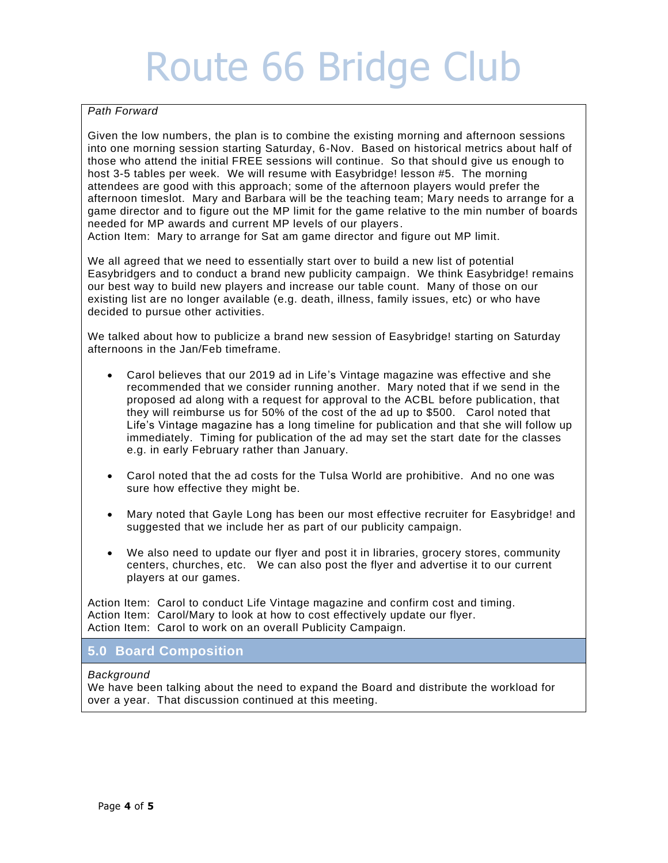### *Path Forward*

Given the low numbers, the plan is to combine the existing morning and afternoon sessions into one morning session starting Saturday, 6-Nov. Based on historical metrics about half of those who attend the initial FREE sessions will continue. So that should give us enough to host 3-5 tables per week. We will resume with Easybridge! lesson #5. The morning attendees are good with this approach; some of the afternoon players would prefer the afternoon timeslot. Mary and Barbara will be the teaching team; Mary needs to arrange for a game director and to figure out the MP limit for the game relative to the min number of boards needed for MP awards and current MP levels of our players .

Action Item: Mary to arrange for Sat am game director and figure out MP limit.

We all agreed that we need to essentially start over to build a new list of potential Easybridgers and to conduct a brand new publicity campaign. We think Easybridge! remains our best way to build new players and increase our table count. Many of those on our existing list are no longer available (e.g. death, illness, family issues, etc) or who have decided to pursue other activities.

We talked about how to publicize a brand new session of Easybridge! starting on Saturday afternoons in the Jan/Feb timeframe.

- Carol believes that our 2019 ad in Life's Vintage magazine was effective and she recommended that we consider running another. Mary noted that if we send in the proposed ad along with a request for approval to the ACBL before publication, that they will reimburse us for 50% of the cost of the ad up to \$500. Carol noted that Life's Vintage magazine has a long timeline for publication and that she will follow up immediately. Timing for publication of the ad may set the start date for the classes e.g. in early February rather than January.
- Carol noted that the ad costs for the Tulsa World are prohibitive. And no one was sure how effective they might be.
- Mary noted that Gayle Long has been our most effective recruiter for Easybridge! and suggested that we include her as part of our publicity campaign.
- We also need to update our flyer and post it in libraries, grocery stores, community centers, churches, etc. We can also post the flyer and advertise it to our current players at our games.

Action Item: Carol to conduct Life Vintage magazine and confirm cost and timing. Action Item: Carol/Mary to look at how to cost effectively update our flyer. Action Item: Carol to work on an overall Publicity Campaign.

#### . **5.0 Board Composition**

#### *Background*

We have been talking about the need to expand the Board and distribute the workload for over a year. That discussion continued at this meeting.